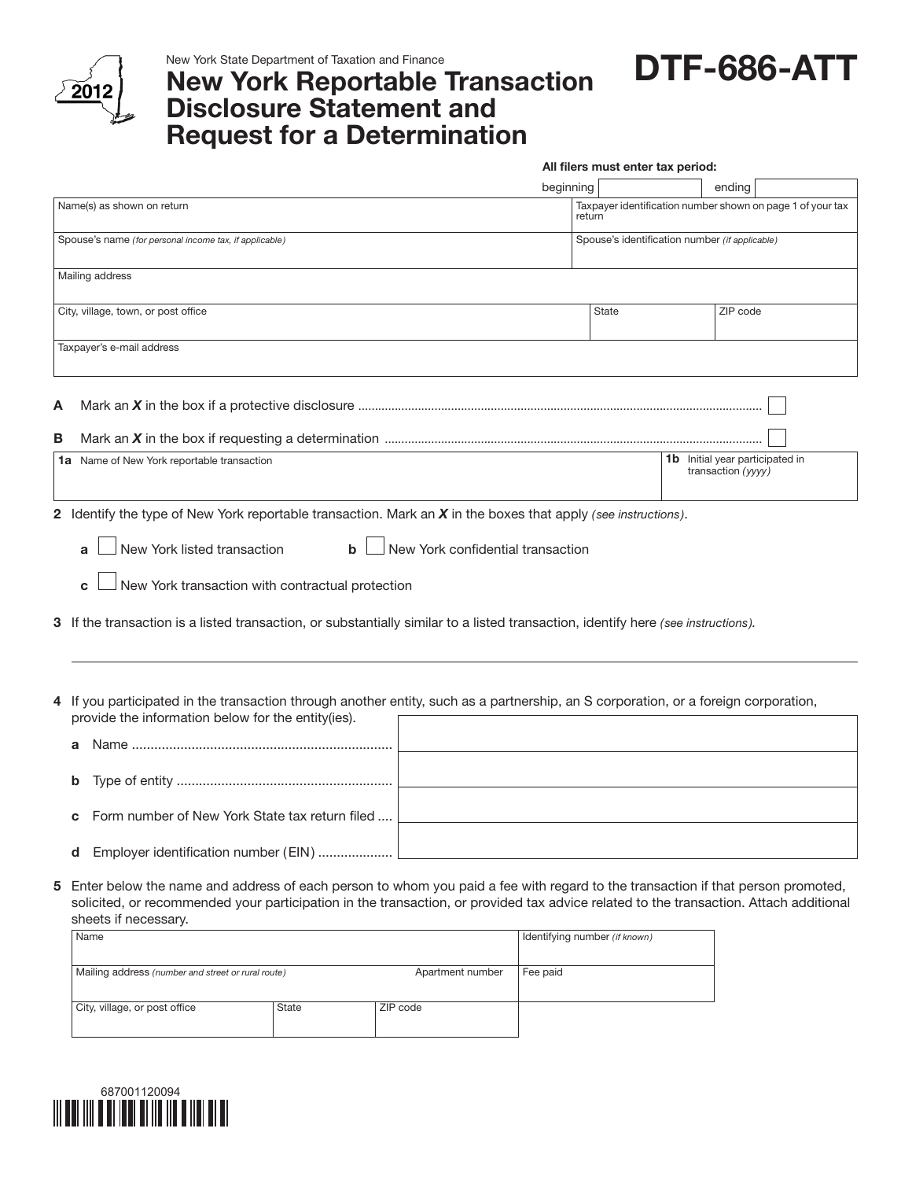

New York State Department of Taxation and Finance

## New York Reportable Transaction Disclosure Statement and Request for a Determination

DTF-686-ATT

All filers must enter tax period:

|   |                                                                                                                                                                                                                                                                                                 |                  | beginning                                                            |                               |          | ending                                                       |  |  |  |  |
|---|-------------------------------------------------------------------------------------------------------------------------------------------------------------------------------------------------------------------------------------------------------------------------------------------------|------------------|----------------------------------------------------------------------|-------------------------------|----------|--------------------------------------------------------------|--|--|--|--|
|   | Name(s) as shown on return                                                                                                                                                                                                                                                                      |                  | Taxpayer identification number shown on page 1 of your tax<br>return |                               |          |                                                              |  |  |  |  |
|   | Spouse's name (for personal income tax, if applicable)                                                                                                                                                                                                                                          |                  | Spouse's identification number (if applicable)                       |                               |          |                                                              |  |  |  |  |
|   | Mailing address                                                                                                                                                                                                                                                                                 |                  |                                                                      |                               |          |                                                              |  |  |  |  |
|   | City, village, town, or post office                                                                                                                                                                                                                                                             |                  | State                                                                |                               | ZIP code |                                                              |  |  |  |  |
|   | Taxpayer's e-mail address                                                                                                                                                                                                                                                                       |                  |                                                                      |                               |          |                                                              |  |  |  |  |
| A |                                                                                                                                                                                                                                                                                                 |                  |                                                                      |                               |          |                                                              |  |  |  |  |
| В |                                                                                                                                                                                                                                                                                                 |                  |                                                                      |                               |          |                                                              |  |  |  |  |
|   | 1a Name of New York reportable transaction                                                                                                                                                                                                                                                      |                  |                                                                      |                               |          | <b>1b</b> Initial year participated in<br>transaction (yyyy) |  |  |  |  |
|   | New York listed transaction<br>New York confidential transaction<br>$\mathbf b$<br>a<br>New York transaction with contractual protection<br>C<br>3 If the transaction is a listed transaction, or substantially similar to a listed transaction, identify here (see instructions).              |                  |                                                                      |                               |          |                                                              |  |  |  |  |
| а | 4 If you participated in the transaction through another entity, such as a partnership, an S corporation, or a foreign corporation,<br>provide the information below for the entity(ies).                                                                                                       |                  |                                                                      |                               |          |                                                              |  |  |  |  |
| b |                                                                                                                                                                                                                                                                                                 |                  |                                                                      |                               |          |                                                              |  |  |  |  |
|   | Form number of New York State tax return filed                                                                                                                                                                                                                                                  |                  |                                                                      |                               |          |                                                              |  |  |  |  |
| d | Employer identification number (EIN)                                                                                                                                                                                                                                                            |                  |                                                                      |                               |          |                                                              |  |  |  |  |
| 5 | Enter below the name and address of each person to whom you paid a fee with regard to the transaction if that person promoted,<br>solicited, or recommended your participation in the transaction, or provided tax advice related to the transaction. Attach additional<br>sheets if necessary. |                  |                                                                      |                               |          |                                                              |  |  |  |  |
|   | Name                                                                                                                                                                                                                                                                                            |                  |                                                                      | Identifying number (if known) |          |                                                              |  |  |  |  |
|   | Mailing address (number and street or rural route)                                                                                                                                                                                                                                              | Apartment number | Fee paid                                                             |                               |          |                                                              |  |  |  |  |